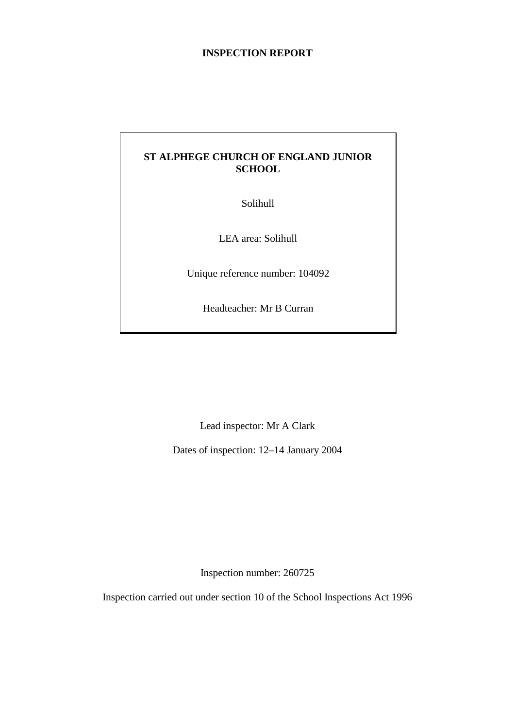## **INSPECTION REPORT**

# **ST ALPHEGE CHURCH OF ENGLAND JUNIOR SCHOOL**

Solihull

LEA area: Solihull

Unique reference number: 104092

Headteacher: Mr B Curran

Lead inspector: Mr A Clark

Dates of inspection: 12–14 January 2004

Inspection number: 260725

Inspection carried out under section 10 of the School Inspections Act 1996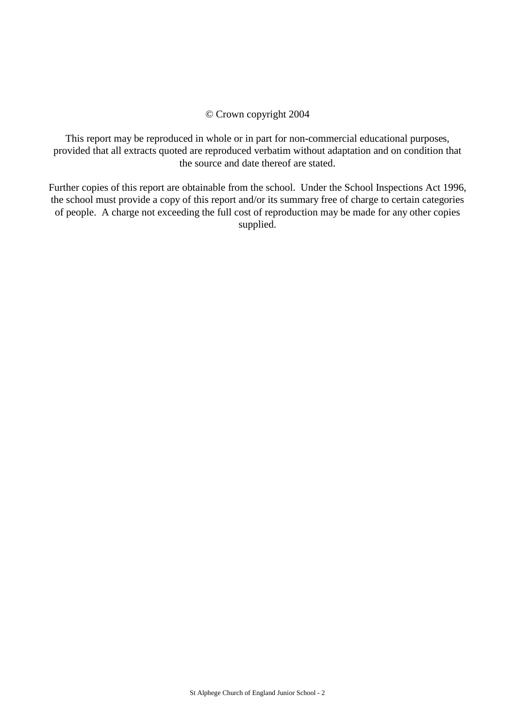#### © Crown copyright 2004

This report may be reproduced in whole or in part for non-commercial educational purposes, provided that all extracts quoted are reproduced verbatim without adaptation and on condition that the source and date thereof are stated.

Further copies of this report are obtainable from the school. Under the School Inspections Act 1996, the school must provide a copy of this report and/or its summary free of charge to certain categories of people. A charge not exceeding the full cost of reproduction may be made for any other copies supplied.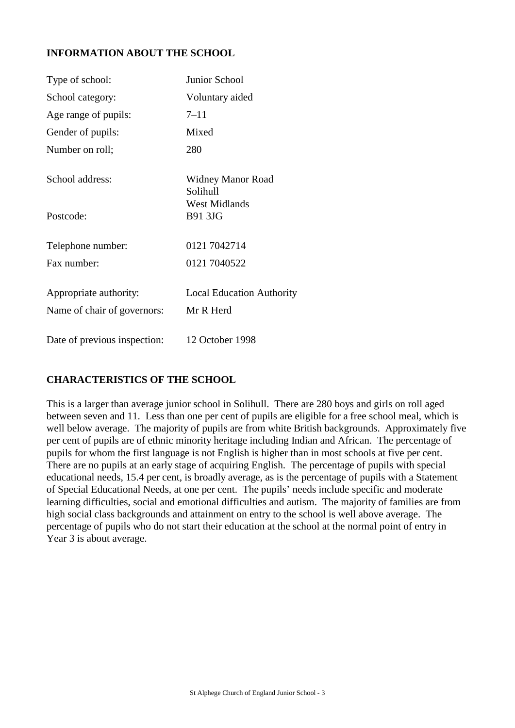# **INFORMATION ABOUT THE SCHOOL**

| Type of school:              | Junior School                          |
|------------------------------|----------------------------------------|
| School category:             | Voluntary aided                        |
| Age range of pupils:         | $7 - 11$                               |
| Gender of pupils:            | Mixed                                  |
| Number on roll;              | 280                                    |
| School address:              | Widney Manor Road<br>Solihull          |
| Postcode:                    | <b>West Midlands</b><br><b>B91 3JG</b> |
| Telephone number:            | 0121 7042714                           |
| Fax number:                  | 0121 7040522                           |
| Appropriate authority:       | <b>Local Education Authority</b>       |
| Name of chair of governors:  | Mr R Herd                              |
| Date of previous inspection: | 12 October 1998                        |

# **CHARACTERISTICS OF THE SCHOOL**

This is a larger than average junior school in Solihull. There are 280 boys and girls on roll aged between seven and 11. Less than one per cent of pupils are eligible for a free school meal, which is well below average. The majority of pupils are from white British backgrounds. Approximately five per cent of pupils are of ethnic minority heritage including Indian and African. The percentage of pupils for whom the first language is not English is higher than in most schools at five per cent. There are no pupils at an early stage of acquiring English. The percentage of pupils with special educational needs, 15.4 per cent, is broadly average, as is the percentage of pupils with a Statement of Special Educational Needs, at one per cent. The pupils' needs include specific and moderate learning difficulties, social and emotional difficulties and autism. The majority of families are from high social class backgrounds and attainment on entry to the school is well above average. The percentage of pupils who do not start their education at the school at the normal point of entry in Year 3 is about average.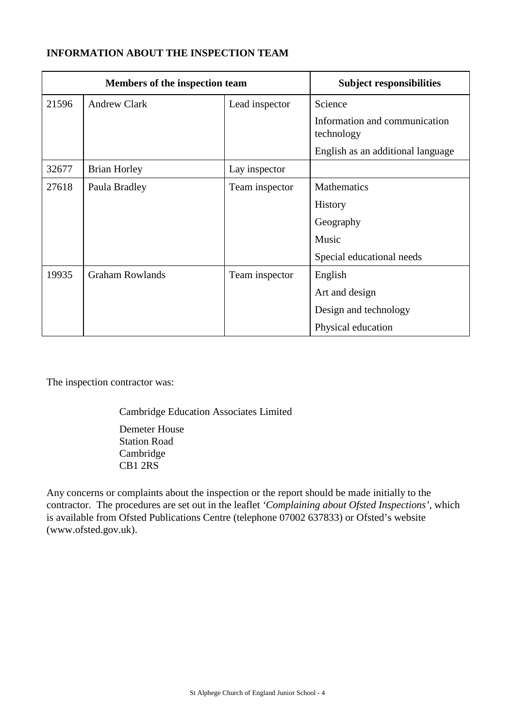# **INFORMATION ABOUT THE INSPECTION TEAM**

| Members of the inspection team |                        | <b>Subject responsibilities</b> |                                             |
|--------------------------------|------------------------|---------------------------------|---------------------------------------------|
| 21596                          | <b>Andrew Clark</b>    | Lead inspector                  | Science                                     |
|                                |                        |                                 | Information and communication<br>technology |
|                                |                        |                                 | English as an additional language           |
| 32677                          | <b>Brian Horley</b>    | Lay inspector                   |                                             |
| 27618                          | Paula Bradley          | Team inspector                  | <b>Mathematics</b>                          |
|                                |                        |                                 | <b>History</b>                              |
|                                |                        |                                 | Geography                                   |
|                                |                        |                                 | Music                                       |
|                                |                        |                                 | Special educational needs                   |
| 19935                          | <b>Graham Rowlands</b> | Team inspector                  | English                                     |
|                                |                        |                                 | Art and design                              |
|                                |                        |                                 | Design and technology                       |
|                                |                        |                                 | Physical education                          |

The inspection contractor was:

Cambridge Education Associates Limited

Demeter House Station Road Cambridge CB1 2RS

Any concerns or complaints about the inspection or the report should be made initially to the contractor. The procedures are set out in the leaflet *'Complaining about Ofsted Inspections'*, which is available from Ofsted Publications Centre (telephone 07002 637833) or Ofsted's website (www.ofsted.gov.uk).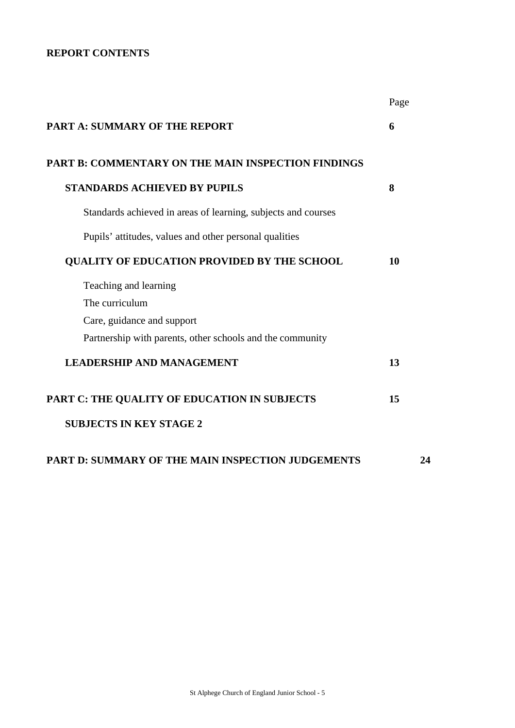# **REPORT CONTENTS**

|                                                               | Page |
|---------------------------------------------------------------|------|
| <b>PART A: SUMMARY OF THE REPORT</b>                          | 6    |
| <b>PART B: COMMENTARY ON THE MAIN INSPECTION FINDINGS</b>     |      |
| <b>STANDARDS ACHIEVED BY PUPILS</b>                           | 8    |
| Standards achieved in areas of learning, subjects and courses |      |
| Pupils' attitudes, values and other personal qualities        |      |
| <b>QUALITY OF EDUCATION PROVIDED BY THE SCHOOL</b>            | 10   |
| Teaching and learning                                         |      |
| The curriculum                                                |      |
| Care, guidance and support                                    |      |
| Partnership with parents, other schools and the community     |      |
| <b>LEADERSHIP AND MANAGEMENT</b>                              | 13   |
| PART C: THE QUALITY OF EDUCATION IN SUBJECTS                  | 15   |
| <b>SUBJECTS IN KEY STAGE 2</b>                                |      |
| PART D: SUMMARY OF THE MAIN INSPECTION JUDGEMENTS             | 24   |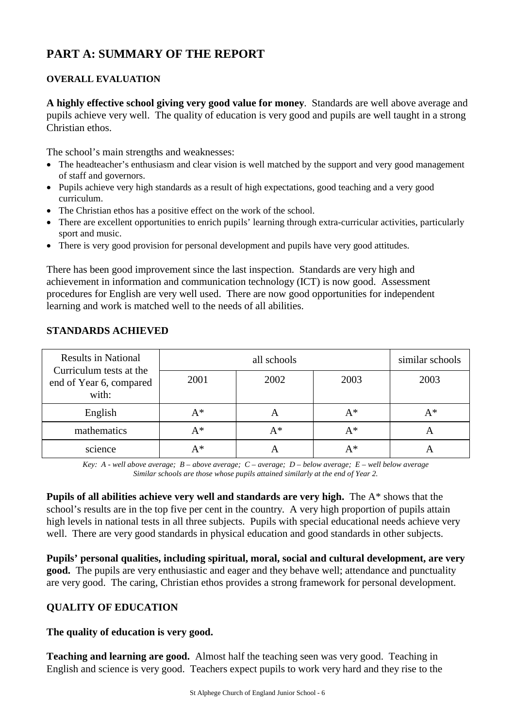# **PART A: SUMMARY OF THE REPORT**

## **OVERALL EVALUATION**

**A highly effective school giving very good value for money**. Standards are well above average and pupils achieve very well. The quality of education is very good and pupils are well taught in a strong Christian ethos.

The school's main strengths and weaknesses:

- The headteacher's enthusiasm and clear vision is well matched by the support and very good management of staff and governors.
- Pupils achieve very high standards as a result of high expectations, good teaching and a very good curriculum.
- The Christian ethos has a positive effect on the work of the school.
- There are excellent opportunities to enrich pupils' learning through extra-curricular activities, particularly sport and music.
- There is very good provision for personal development and pupils have very good attitudes.

There has been good improvement since the last inspection. Standards are very high and achievement in information and communication technology (ICT) is now good. Assessment procedures for English are very well used. There are now good opportunities for independent learning and work is matched well to the needs of all abilities.

| <b>Results in National</b><br>Curriculum tests at the |      | similar schools |      |       |
|-------------------------------------------------------|------|-----------------|------|-------|
| end of Year 6, compared<br>with:                      | 2001 | 2002            | 2003 | 2003  |
| English                                               | A*   | A               | A*   | $A^*$ |
| mathematics                                           | A*   | $A^*$           | A*   | A     |
| science                                               | A*   |                 | A*   |       |

## **STANDARDS ACHIEVED**

*Key: A - well above average; B – above average; C – average; D – below average; E – well below average Similar schools are those whose pupils attained similarly at the end of Year 2.*

**Pupils of all abilities achieve very well and standards are very high.** The A\* shows that the school's results are in the top five per cent in the country. A very high proportion of pupils attain high levels in national tests in all three subjects. Pupils with special educational needs achieve very well. There are very good standards in physical education and good standards in other subjects.

**Pupils' personal qualities, including spiritual, moral, social and cultural development, are very good.** The pupils are very enthusiastic and eager and they behave well; attendance and punctuality are very good. The caring, Christian ethos provides a strong framework for personal development.

# **QUALITY OF EDUCATION**

## **The quality of education is very good.**

**Teaching and learning are good.** Almost half the teaching seen was very good. Teaching in English and science is very good. Teachers expect pupils to work very hard and they rise to the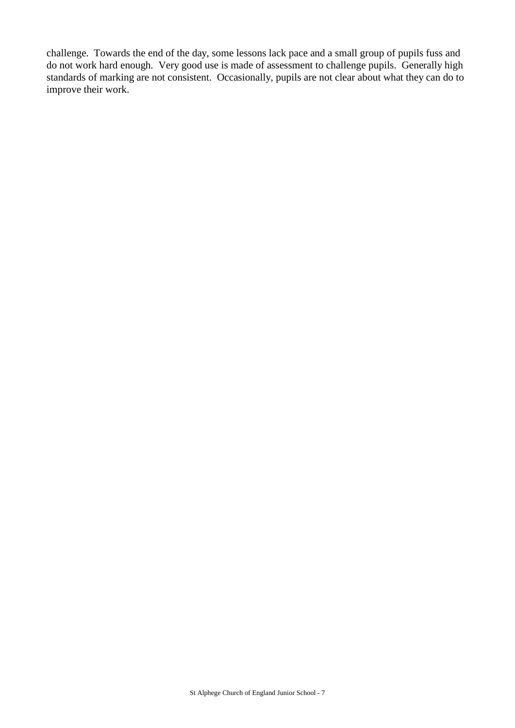challenge. Towards the end of the day, some lessons lack pace and a small group of pupils fuss and do not work hard enough. Very good use is made of assessment to challenge pupils. Generally high standards of marking are not consistent. Occasionally, pupils are not clear about what they can do to improve their work.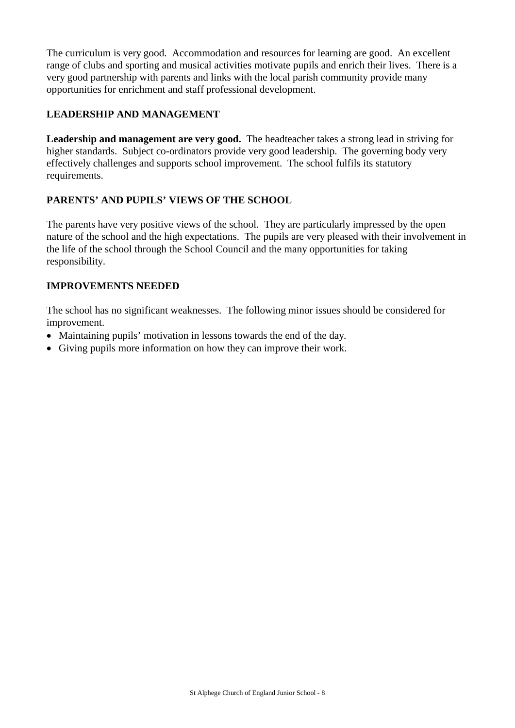The curriculum is very good. Accommodation and resources for learning are good. An excellent range of clubs and sporting and musical activities motivate pupils and enrich their lives. There is a very good partnership with parents and links with the local parish community provide many opportunities for enrichment and staff professional development.

# **LEADERSHIP AND MANAGEMENT**

**Leadership and management are very good.** The headteacher takes a strong lead in striving for higher standards. Subject co-ordinators provide very good leadership. The governing body very effectively challenges and supports school improvement. The school fulfils its statutory requirements.

# **PARENTS' AND PUPILS' VIEWS OF THE SCHOOL**

The parents have very positive views of the school. They are particularly impressed by the open nature of the school and the high expectations. The pupils are very pleased with their involvement in the life of the school through the School Council and the many opportunities for taking responsibility.

# **IMPROVEMENTS NEEDED**

The school has no significant weaknesses. The following minor issues should be considered for improvement.

- Maintaining pupils' motivation in lessons towards the end of the day.
- Giving pupils more information on how they can improve their work.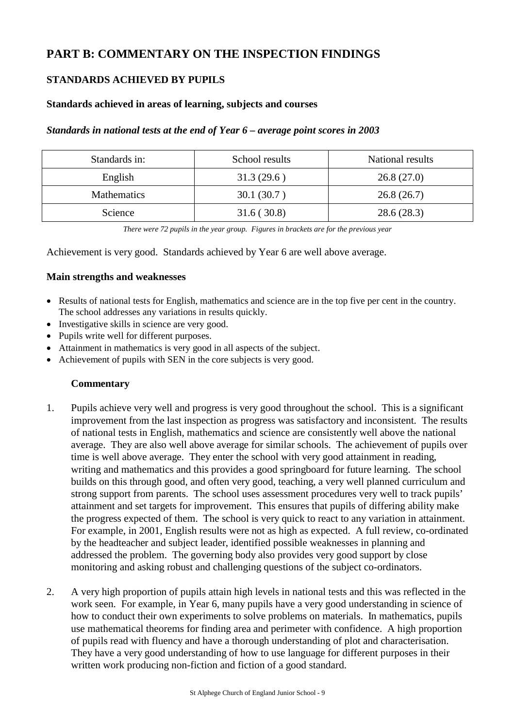# **PART B: COMMENTARY ON THE INSPECTION FINDINGS**

# **STANDARDS ACHIEVED BY PUPILS**

## **Standards achieved in areas of learning, subjects and courses**

#### *Standards in national tests at the end of Year 6 – average point scores in 2003*

| Standards in: | School results | National results |  |
|---------------|----------------|------------------|--|
| English       | 31.3(29.6)     | 26.8(27.0)       |  |
| Mathematics   | 30.1(30.7)     | 26.8(26.7)       |  |
| Science       | 31.6(30.8)     | 28.6(28.3)       |  |

*There were 72 pupils in the year group. Figures in brackets are for the previous year*

Achievement is very good. Standards achieved by Year 6 are well above average.

#### **Main strengths and weaknesses**

- Results of national tests for English, mathematics and science are in the top five per cent in the country. The school addresses any variations in results quickly.
- Investigative skills in science are very good.
- Pupils write well for different purposes.
- Attainment in mathematics is very good in all aspects of the subject.
- Achievement of pupils with SEN in the core subjects is very good.

- 1. Pupils achieve very well and progress is very good throughout the school. This is a significant improvement from the last inspection as progress was satisfactory and inconsistent. The results of national tests in English, mathematics and science are consistently well above the national average. They are also well above average for similar schools. The achievement of pupils over time is well above average. They enter the school with very good attainment in reading, writing and mathematics and this provides a good springboard for future learning. The school builds on this through good, and often very good, teaching, a very well planned curriculum and strong support from parents. The school uses assessment procedures very well to track pupils' attainment and set targets for improvement. This ensures that pupils of differing ability make the progress expected of them. The school is very quick to react to any variation in attainment. For example, in 2001, English results were not as high as expected. A full review, co-ordinated by the headteacher and subject leader, identified possible weaknesses in planning and addressed the problem. The governing body also provides very good support by close monitoring and asking robust and challenging questions of the subject co-ordinators.
- 2. A very high proportion of pupils attain high levels in national tests and this was reflected in the work seen. For example, in Year 6, many pupils have a very good understanding in science of how to conduct their own experiments to solve problems on materials. In mathematics, pupils use mathematical theorems for finding area and perimeter with confidence. A high proportion of pupils read with fluency and have a thorough understanding of plot and characterisation. They have a very good understanding of how to use language for different purposes in their written work producing non-fiction and fiction of a good standard.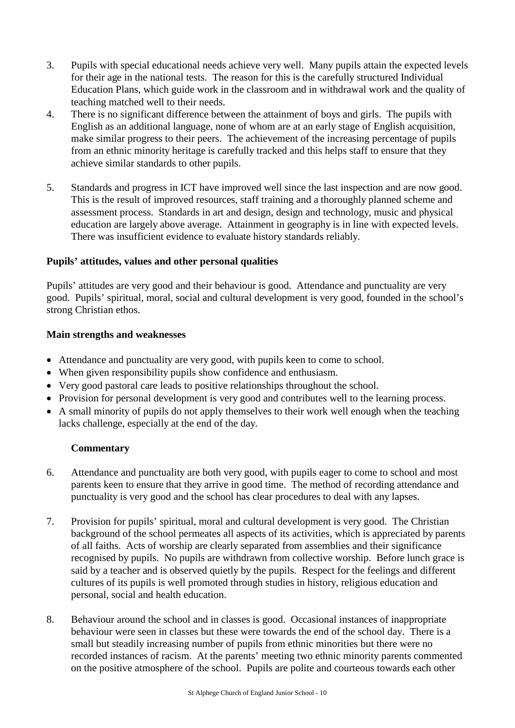- 3. Pupils with special educational needs achieve very well. Many pupils attain the expected levels for their age in the national tests. The reason for this is the carefully structured Individual Education Plans, which guide work in the classroom and in withdrawal work and the quality of teaching matched well to their needs.
- 4. There is no significant difference between the attainment of boys and girls. The pupils with English as an additional language, none of whom are at an early stage of English acquisition, make similar progress to their peers. The achievement of the increasing percentage of pupils from an ethnic minority heritage is carefully tracked and this helps staff to ensure that they achieve similar standards to other pupils.
- 5. Standards and progress in ICT have improved well since the last inspection and are now good. This is the result of improved resources, staff training and a thoroughly planned scheme and assessment process. Standards in art and design, design and technology, music and physical education are largely above average. Attainment in geography is in line with expected levels. There was insufficient evidence to evaluate history standards reliably.

# **Pupils' attitudes, values and other personal qualities**

Pupils' attitudes are very good and their behaviour is good. Attendance and punctuality are very good. Pupils' spiritual, moral, social and cultural development is very good, founded in the school's strong Christian ethos.

# **Main strengths and weaknesses**

- Attendance and punctuality are very good, with pupils keen to come to school.
- When given responsibility pupils show confidence and enthusiasm.
- Very good pastoral care leads to positive relationships throughout the school.
- Provision for personal development is very good and contributes well to the learning process.
- A small minority of pupils do not apply themselves to their work well enough when the teaching lacks challenge, especially at the end of the day.

- 6. Attendance and punctuality are both very good, with pupils eager to come to school and most parents keen to ensure that they arrive in good time. The method of recording attendance and punctuality is very good and the school has clear procedures to deal with any lapses.
- 7. Provision for pupils' spiritual, moral and cultural development is very good. The Christian background of the school permeates all aspects of its activities, which is appreciated by parents of all faiths. Acts of worship are clearly separated from assemblies and their significance recognised by pupils. No pupils are withdrawn from collective worship. Before lunch grace is said by a teacher and is observed quietly by the pupils. Respect for the feelings and different cultures of its pupils is well promoted through studies in history, religious education and personal, social and health education.
- 8. Behaviour around the school and in classes is good. Occasional instances of inappropriate behaviour were seen in classes but these were towards the end of the school day. There is a small but steadily increasing number of pupils from ethnic minorities but there were no recorded instances of racism. At the parents' meeting two ethnic minority parents commented on the positive atmosphere of the school. Pupils are polite and courteous towards each other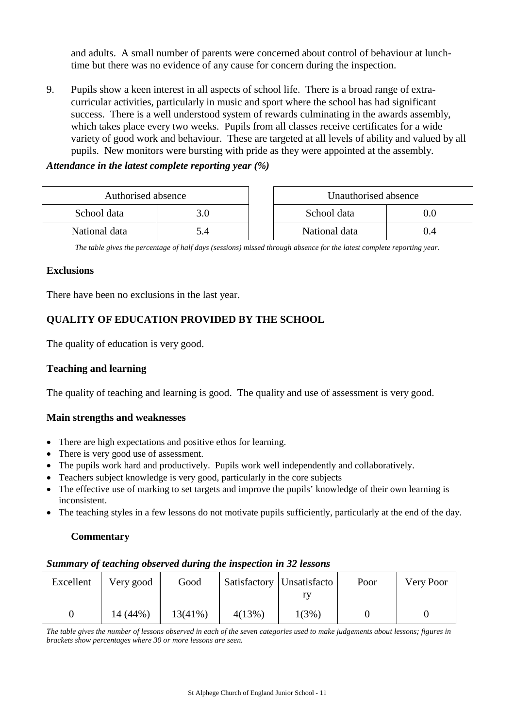and adults. A small number of parents were concerned about control of behaviour at lunchtime but there was no evidence of any cause for concern during the inspection.

9. Pupils show a keen interest in all aspects of school life. There is a broad range of extracurricular activities, particularly in music and sport where the school has had significant success. There is a well understood system of rewards culminating in the awards assembly, which takes place every two weeks. Pupils from all classes receive certificates for a wide variety of good work and behaviour. These are targeted at all levels of ability and valued by all pupils. New monitors were bursting with pride as they were appointed at the assembly.

*Attendance in the latest complete reporting year (%)*

| Authorised absence |     | Unauthorised absence |      |
|--------------------|-----|----------------------|------|
| School data        | 3.0 | School data          | .).O |
| National data      |     | National data        | 14   |

*The table gives the percentage of half days (sessions) missed through absence for the latest complete reporting year.*

#### **Exclusions**

There have been no exclusions in the last year.

# **QUALITY OF EDUCATION PROVIDED BY THE SCHOOL**

The quality of education is very good.

## **Teaching and learning**

The quality of teaching and learning is good. The quality and use of assessment is very good.

## **Main strengths and weaknesses**

- There are high expectations and positive ethos for learning.
- There is very good use of assessment.
- The pupils work hard and productively. Pupils work well independently and collaboratively.
- Teachers subject knowledge is very good, particularly in the core subjects
- The effective use of marking to set targets and improve the pupils' knowledge of their own learning is inconsistent.
- The teaching styles in a few lessons do not motivate pupils sufficiently, particularly at the end of the day.

## **Commentary**

## *Summary of teaching observed during the inspection in 32 lessons*

| Excellent | Very good | Good       |        | Satisfactory Unsatisfacto | Poor | Very Poor |
|-----------|-----------|------------|--------|---------------------------|------|-----------|
|           | 14 (44%)  | $13(41\%)$ | 4(13%) | 1(3%)                     |      |           |

*The table gives the number of lessons observed in each of the seven categories used to make judgements about lessons; figures in brackets show percentages where 30 or more lessons are seen.*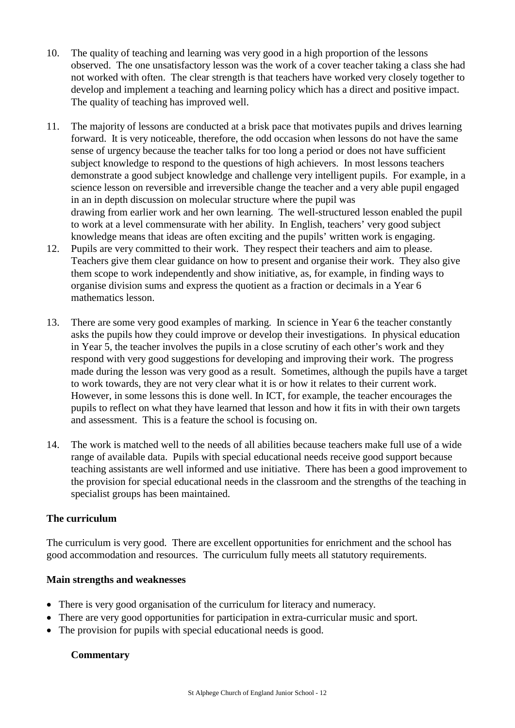- 10. The quality of teaching and learning was very good in a high proportion of the lessons observed. The one unsatisfactory lesson was the work of a cover teacher taking a class she had not worked with often. The clear strength is that teachers have worked very closely together to develop and implement a teaching and learning policy which has a direct and positive impact. The quality of teaching has improved well.
- 11. The majority of lessons are conducted at a brisk pace that motivates pupils and drives learning forward. It is very noticeable, therefore, the odd occasion when lessons do not have the same sense of urgency because the teacher talks for too long a period or does not have sufficient subject knowledge to respond to the questions of high achievers. In most lessons teachers demonstrate a good subject knowledge and challenge very intelligent pupils. For example, in a science lesson on reversible and irreversible change the teacher and a very able pupil engaged in an in depth discussion on molecular structure where the pupil was drawing from earlier work and her own learning. The well-structured lesson enabled the pupil to work at a level commensurate with her ability. In English, teachers' very good subject knowledge means that ideas are often exciting and the pupils' written work is engaging.
- 12. Pupils are very committed to their work. They respect their teachers and aim to please. Teachers give them clear guidance on how to present and organise their work. They also give them scope to work independently and show initiative, as, for example, in finding ways to organise division sums and express the quotient as a fraction or decimals in a Year 6 mathematics lesson.
- 13. There are some very good examples of marking. In science in Year 6 the teacher constantly asks the pupils how they could improve or develop their investigations. In physical education in Year 5, the teacher involves the pupils in a close scrutiny of each other's work and they respond with very good suggestions for developing and improving their work. The progress made during the lesson was very good as a result. Sometimes, although the pupils have a target to work towards, they are not very clear what it is or how it relates to their current work. However, in some lessons this is done well. In ICT, for example, the teacher encourages the pupils to reflect on what they have learned that lesson and how it fits in with their own targets and assessment. This is a feature the school is focusing on.
- 14. The work is matched well to the needs of all abilities because teachers make full use of a wide range of available data. Pupils with special educational needs receive good support because teaching assistants are well informed and use initiative. There has been a good improvement to the provision for special educational needs in the classroom and the strengths of the teaching in specialist groups has been maintained.

# **The curriculum**

The curriculum is very good. There are excellent opportunities for enrichment and the school has good accommodation and resources. The curriculum fully meets all statutory requirements.

# **Main strengths and weaknesses**

- There is very good organisation of the curriculum for literacy and numeracy.
- There are very good opportunities for participation in extra-curricular music and sport.
- The provision for pupils with special educational needs is good.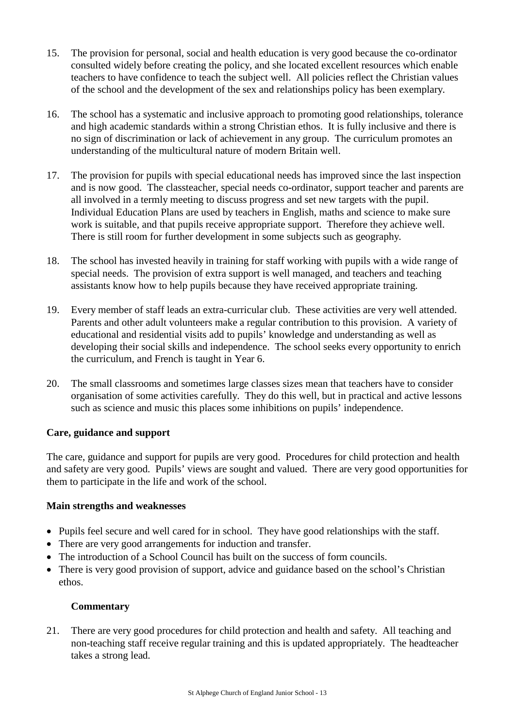- 15. The provision for personal, social and health education is very good because the co-ordinator consulted widely before creating the policy, and she located excellent resources which enable teachers to have confidence to teach the subject well. All policies reflect the Christian values of the school and the development of the sex and relationships policy has been exemplary.
- 16. The school has a systematic and inclusive approach to promoting good relationships, tolerance and high academic standards within a strong Christian ethos. It is fully inclusive and there is no sign of discrimination or lack of achievement in any group. The curriculum promotes an understanding of the multicultural nature of modern Britain well.
- 17. The provision for pupils with special educational needs has improved since the last inspection and is now good. The classteacher, special needs co-ordinator, support teacher and parents are all involved in a termly meeting to discuss progress and set new targets with the pupil. Individual Education Plans are used by teachers in English, maths and science to make sure work is suitable, and that pupils receive appropriate support. Therefore they achieve well. There is still room for further development in some subjects such as geography.
- 18. The school has invested heavily in training for staff working with pupils with a wide range of special needs. The provision of extra support is well managed, and teachers and teaching assistants know how to help pupils because they have received appropriate training.
- 19. Every member of staff leads an extra-curricular club. These activities are very well attended. Parents and other adult volunteers make a regular contribution to this provision. A variety of educational and residential visits add to pupils' knowledge and understanding as well as developing their social skills and independence. The school seeks every opportunity to enrich the curriculum, and French is taught in Year 6.
- 20. The small classrooms and sometimes large classes sizes mean that teachers have to consider organisation of some activities carefully. They do this well, but in practical and active lessons such as science and music this places some inhibitions on pupils' independence.

# **Care, guidance and support**

The care, guidance and support for pupils are very good. Procedures for child protection and health and safety are very good. Pupils' views are sought and valued. There are very good opportunities for them to participate in the life and work of the school.

## **Main strengths and weaknesses**

- Pupils feel secure and well cared for in school. They have good relationships with the staff.
- There are very good arrangements for induction and transfer.
- The introduction of a School Council has built on the success of form councils.
- There is very good provision of support, advice and guidance based on the school's Christian ethos.

# **Commentary**

21. There are very good procedures for child protection and health and safety. All teaching and non-teaching staff receive regular training and this is updated appropriately. The headteacher takes a strong lead.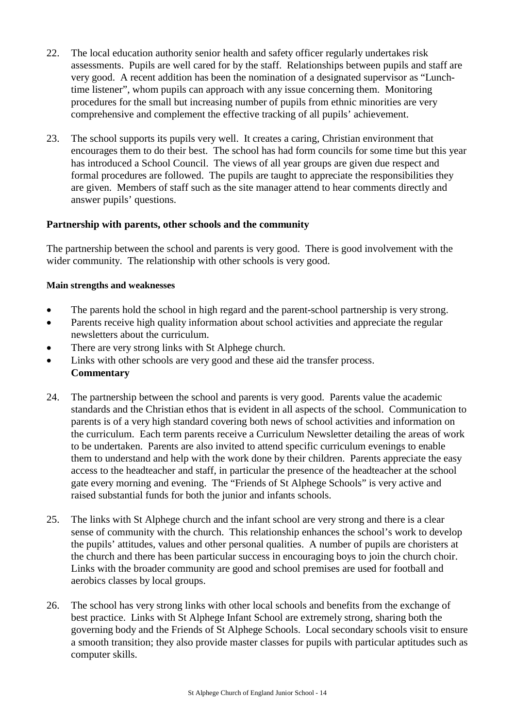- 22. The local education authority senior health and safety officer regularly undertakes risk assessments. Pupils are well cared for by the staff. Relationships between pupils and staff are very good. A recent addition has been the nomination of a designated supervisor as "Lunchtime listener", whom pupils can approach with any issue concerning them. Monitoring procedures for the small but increasing number of pupils from ethnic minorities are very comprehensive and complement the effective tracking of all pupils' achievement.
- 23. The school supports its pupils very well. It creates a caring, Christian environment that encourages them to do their best. The school has had form councils for some time but this year has introduced a School Council. The views of all year groups are given due respect and formal procedures are followed. The pupils are taught to appreciate the responsibilities they are given. Members of staff such as the site manager attend to hear comments directly and answer pupils' questions.

## **Partnership with parents, other schools and the community**

The partnership between the school and parents is very good. There is good involvement with the wider community. The relationship with other schools is very good.

## **Main strengths and weaknesses**

- The parents hold the school in high regard and the parent-school partnership is very strong.
- Parents receive high quality information about school activities and appreciate the regular newsletters about the curriculum.
- There are very strong links with St Alphege church.
- Links with other schools are very good and these aid the transfer process. **Commentary**
- 24. The partnership between the school and parents is very good. Parents value the academic standards and the Christian ethos that is evident in all aspects of the school. Communication to parents is of a very high standard covering both news of school activities and information on the curriculum. Each term parents receive a Curriculum Newsletter detailing the areas of work to be undertaken. Parents are also invited to attend specific curriculum evenings to enable them to understand and help with the work done by their children. Parents appreciate the easy access to the headteacher and staff, in particular the presence of the headteacher at the school gate every morning and evening. The "Friends of St Alphege Schools" is very active and raised substantial funds for both the junior and infants schools.
- 25. The links with St Alphege church and the infant school are very strong and there is a clear sense of community with the church. This relationship enhances the school's work to develop the pupils' attitudes, values and other personal qualities. A number of pupils are choristers at the church and there has been particular success in encouraging boys to join the church choir. Links with the broader community are good and school premises are used for football and aerobics classes by local groups.
- 26. The school has very strong links with other local schools and benefits from the exchange of best practice. Links with St Alphege Infant School are extremely strong, sharing both the governing body and the Friends of St Alphege Schools. Local secondary schools visit to ensure a smooth transition; they also provide master classes for pupils with particular aptitudes such as computer skills.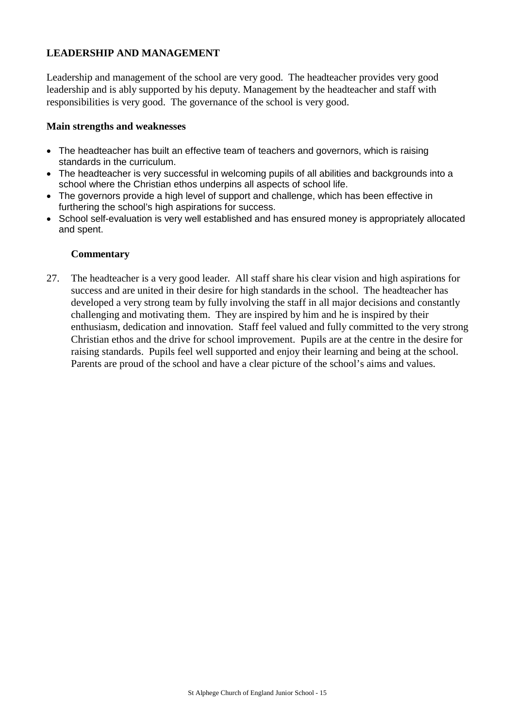# **LEADERSHIP AND MANAGEMENT**

Leadership and management of the school are very good. The headteacher provides very good leadership and is ably supported by his deputy. Management by the headteacher and staff with responsibilities is very good. The governance of the school is very good.

#### **Main strengths and weaknesses**

- The headteacher has built an effective team of teachers and governors, which is raising standards in the curriculum.
- The headteacher is very successful in welcoming pupils of all abilities and backgrounds into a school where the Christian ethos underpins all aspects of school life.
- The governors provide a high level of support and challenge, which has been effective in furthering the school's high aspirations for success.
- School self-evaluation is very well established and has ensured money is appropriately allocated and spent.

## **Commentary**

27. The headteacher is a very good leader. All staff share his clear vision and high aspirations for success and are united in their desire for high standards in the school. The headteacher has developed a very strong team by fully involving the staff in all major decisions and constantly challenging and motivating them. They are inspired by him and he is inspired by their enthusiasm, dedication and innovation. Staff feel valued and fully committed to the very strong Christian ethos and the drive for school improvement. Pupils are at the centre in the desire for raising standards. Pupils feel well supported and enjoy their learning and being at the school. Parents are proud of the school and have a clear picture of the school's aims and values.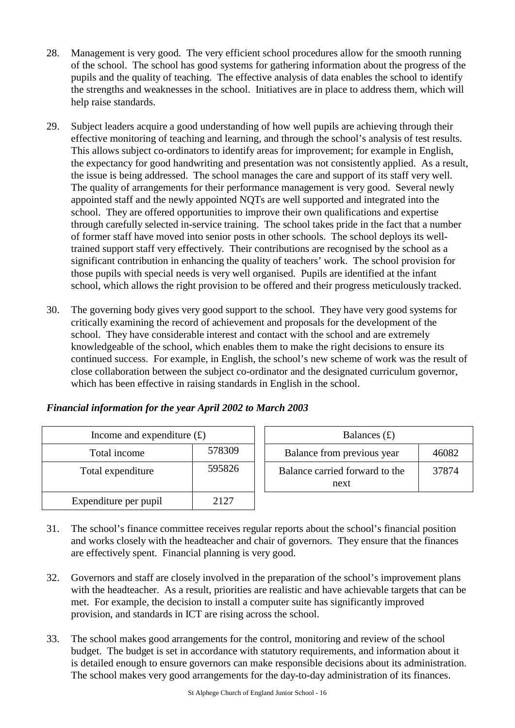- 28. Management is very good. The very efficient school procedures allow for the smooth running of the school. The school has good systems for gathering information about the progress of the pupils and the quality of teaching. The effective analysis of data enables the school to identify the strengths and weaknesses in the school. Initiatives are in place to address them, which will help raise standards.
- 29. Subject leaders acquire a good understanding of how well pupils are achieving through their effective monitoring of teaching and learning, and through the school's analysis of test results. This allows subject co-ordinators to identify areas for improvement; for example in English, the expectancy for good handwriting and presentation was not consistently applied. As a result, the issue is being addressed. The school manages the care and support of its staff very well. The quality of arrangements for their performance management is very good. Several newly appointed staff and the newly appointed NQTs are well supported and integrated into the school. They are offered opportunities to improve their own qualifications and expertise through carefully selected in-service training. The school takes pride in the fact that a number of former staff have moved into senior posts in other schools. The school deploys its welltrained support staff very effectively. Their contributions are recognised by the school as a significant contribution in enhancing the quality of teachers' work. The school provision for those pupils with special needs is very well organised. Pupils are identified at the infant school, which allows the right provision to be offered and their progress meticulously tracked.
- 30. The governing body gives very good support to the school. They have very good systems for critically examining the record of achievement and proposals for the development of the school. They have considerable interest and contact with the school and are extremely knowledgeable of the school, which enables them to make the right decisions to ensure its continued success. For example, in English, the school's new scheme of work was the result of close collaboration between the subject co-ordinator and the designated curriculum governor, which has been effective in raising standards in English in the school.

# *Financial information for the year April 2002 to March 2003*

| Income and expenditure $(f)$ |        | Balances $(f)$                         |
|------------------------------|--------|----------------------------------------|
| Total income                 | 578309 | Balance from previous year             |
| Total expenditure            | 595826 | Balance carried forward to the<br>next |
| Expenditure per pupil        | 2127   |                                        |

| Income and expenditure $(f)$ |        | Balances $(f)$                         |       |  |
|------------------------------|--------|----------------------------------------|-------|--|
| Total income                 | 578309 | Balance from previous year             | 46082 |  |
| otal expenditure             | 595826 | Balance carried forward to the<br>next | 37874 |  |

- 31. The school's finance committee receives regular reports about the school's financial position and works closely with the headteacher and chair of governors. They ensure that the finances are effectively spent. Financial planning is very good.
- 32. Governors and staff are closely involved in the preparation of the school's improvement plans with the headteacher. As a result, priorities are realistic and have achievable targets that can be met. For example, the decision to install a computer suite has significantly improved provision, and standards in ICT are rising across the school.
- 33. The school makes good arrangements for the control, monitoring and review of the school budget. The budget is set in accordance with statutory requirements, and information about it is detailed enough to ensure governors can make responsible decisions about its administration. The school makes very good arrangements for the day-to-day administration of its finances.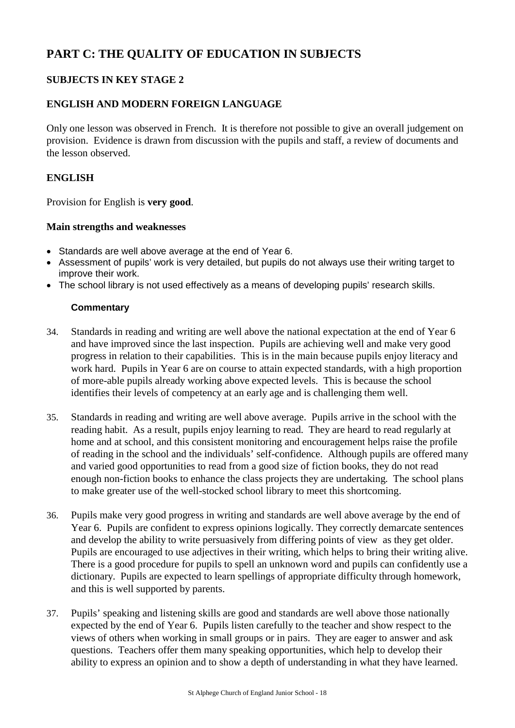# **PART C: THE QUALITY OF EDUCATION IN SUBJECTS**

# **SUBJECTS IN KEY STAGE 2**

# **ENGLISH AND MODERN FOREIGN LANGUAGE**

Only one lesson was observed in French. It is therefore not possible to give an overall judgement on provision. Evidence is drawn from discussion with the pupils and staff, a review of documents and the lesson observed.

# **ENGLISH**

Provision for English is **very good**.

## **Main strengths and weaknesses**

- Standards are well above average at the end of Year 6.
- Assessment of pupils' work is very detailed, but pupils do not always use their writing target to improve their work.
- The school library is not used effectively as a means of developing pupils' research skills.

- 34. Standards in reading and writing are well above the national expectation at the end of Year 6 and have improved since the last inspection. Pupils are achieving well and make very good progress in relation to their capabilities. This is in the main because pupils enjoy literacy and work hard. Pupils in Year 6 are on course to attain expected standards, with a high proportion of more-able pupils already working above expected levels. This is because the school identifies their levels of competency at an early age and is challenging them well.
- 35. Standards in reading and writing are well above average. Pupils arrive in the school with the reading habit. As a result, pupils enjoy learning to read. They are heard to read regularly at home and at school, and this consistent monitoring and encouragement helps raise the profile of reading in the school and the individuals' self-confidence. Although pupils are offered many and varied good opportunities to read from a good size of fiction books, they do not read enough non-fiction books to enhance the class projects they are undertaking. The school plans to make greater use of the well-stocked school library to meet this shortcoming.
- 36. Pupils make very good progress in writing and standards are well above average by the end of Year 6. Pupils are confident to express opinions logically. They correctly demarcate sentences and develop the ability to write persuasively from differing points of view as they get older. Pupils are encouraged to use adjectives in their writing, which helps to bring their writing alive. There is a good procedure for pupils to spell an unknown word and pupils can confidently use a dictionary. Pupils are expected to learn spellings of appropriate difficulty through homework, and this is well supported by parents.
- 37. Pupils' speaking and listening skills are good and standards are well above those nationally expected by the end of Year 6. Pupils listen carefully to the teacher and show respect to the views of others when working in small groups or in pairs. They are eager to answer and ask questions. Teachers offer them many speaking opportunities, which help to develop their ability to express an opinion and to show a depth of understanding in what they have learned.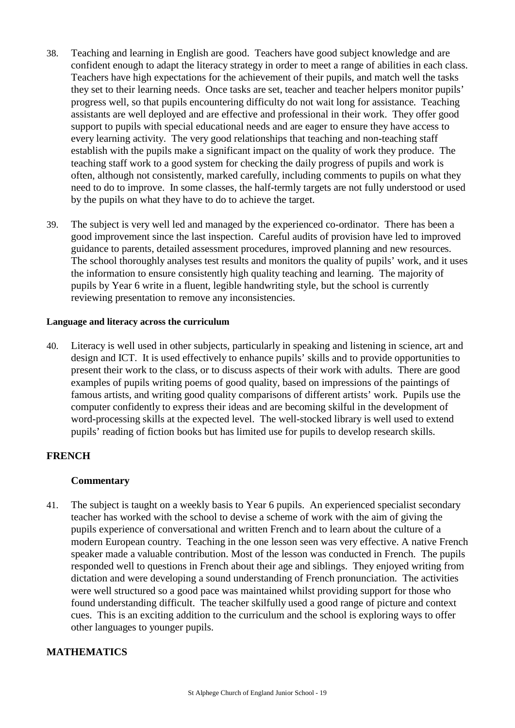- 38. Teaching and learning in English are good. Teachers have good subject knowledge and are confident enough to adapt the literacy strategy in order to meet a range of abilities in each class. Teachers have high expectations for the achievement of their pupils, and match well the tasks they set to their learning needs. Once tasks are set, teacher and teacher helpers monitor pupils' progress well, so that pupils encountering difficulty do not wait long for assistance. Teaching assistants are well deployed and are effective and professional in their work. They offer good support to pupils with special educational needs and are eager to ensure they have access to every learning activity. The very good relationships that teaching and non-teaching staff establish with the pupils make a significant impact on the quality of work they produce. The teaching staff work to a good system for checking the daily progress of pupils and work is often, although not consistently, marked carefully, including comments to pupils on what they need to do to improve. In some classes, the half-termly targets are not fully understood or used by the pupils on what they have to do to achieve the target.
- 39. The subject is very well led and managed by the experienced co-ordinator. There has been a good improvement since the last inspection. Careful audits of provision have led to improved guidance to parents, detailed assessment procedures, improved planning and new resources. The school thoroughly analyses test results and monitors the quality of pupils' work, and it uses the information to ensure consistently high quality teaching and learning. The majority of pupils by Year 6 write in a fluent, legible handwriting style, but the school is currently reviewing presentation to remove any inconsistencies.

## **Language and literacy across the curriculum**

40. Literacy is well used in other subjects, particularly in speaking and listening in science, art and design and ICT. It is used effectively to enhance pupils' skills and to provide opportunities to present their work to the class, or to discuss aspects of their work with adults. There are good examples of pupils writing poems of good quality, based on impressions of the paintings of famous artists, and writing good quality comparisons of different artists' work. Pupils use the computer confidently to express their ideas and are becoming skilful in the development of word-processing skills at the expected level. The well-stocked library is well used to extend pupils' reading of fiction books but has limited use for pupils to develop research skills.

# **FRENCH**

## **Commentary**

41. The subject is taught on a weekly basis to Year 6 pupils. An experienced specialist secondary teacher has worked with the school to devise a scheme of work with the aim of giving the pupils experience of conversational and written French and to learn about the culture of a modern European country. Teaching in the one lesson seen was very effective. A native French speaker made a valuable contribution. Most of the lesson was conducted in French. The pupils responded well to questions in French about their age and siblings. They enjoyed writing from dictation and were developing a sound understanding of French pronunciation. The activities were well structured so a good pace was maintained whilst providing support for those who found understanding difficult. The teacher skilfully used a good range of picture and context cues. This is an exciting addition to the curriculum and the school is exploring ways to offer other languages to younger pupils.

## **MATHEMATICS**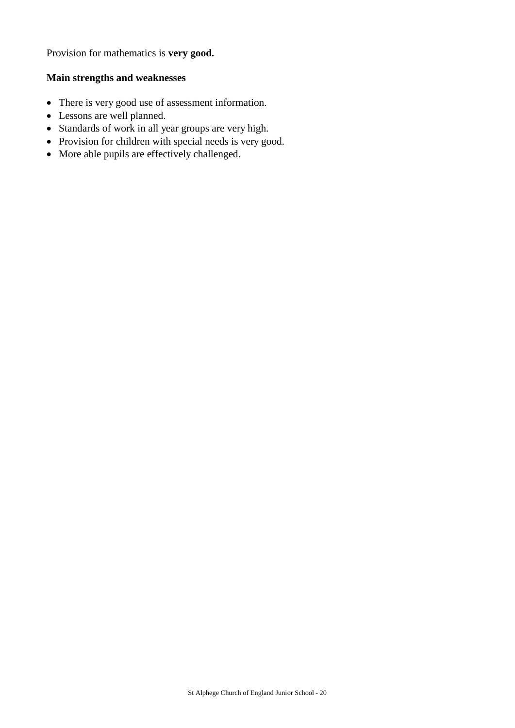Provision for mathematics is **very good.**

## **Main strengths and weaknesses**

- There is very good use of assessment information.
- Lessons are well planned.
- Standards of work in all year groups are very high.
- Provision for children with special needs is very good.
- More able pupils are effectively challenged.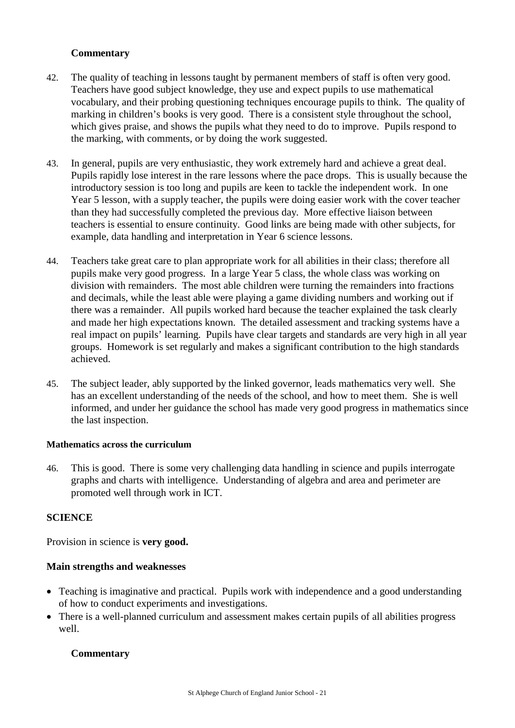# **Commentary**

- 42. The quality of teaching in lessons taught by permanent members of staff is often very good. Teachers have good subject knowledge, they use and expect pupils to use mathematical vocabulary, and their probing questioning techniques encourage pupils to think. The quality of marking in children's books is very good. There is a consistent style throughout the school, which gives praise, and shows the pupils what they need to do to improve. Pupils respond to the marking, with comments, or by doing the work suggested.
- 43. In general, pupils are very enthusiastic, they work extremely hard and achieve a great deal. Pupils rapidly lose interest in the rare lessons where the pace drops. This is usually because the introductory session is too long and pupils are keen to tackle the independent work. In one Year 5 lesson, with a supply teacher, the pupils were doing easier work with the cover teacher than they had successfully completed the previous day. More effective liaison between teachers is essential to ensure continuity. Good links are being made with other subjects, for example, data handling and interpretation in Year 6 science lessons.
- 44. Teachers take great care to plan appropriate work for all abilities in their class; therefore all pupils make very good progress. In a large Year 5 class, the whole class was working on division with remainders. The most able children were turning the remainders into fractions and decimals, while the least able were playing a game dividing numbers and working out if there was a remainder. All pupils worked hard because the teacher explained the task clearly and made her high expectations known. The detailed assessment and tracking systems have a real impact on pupils' learning. Pupils have clear targets and standards are very high in all year groups. Homework is set regularly and makes a significant contribution to the high standards achieved.
- 45. The subject leader, ably supported by the linked governor, leads mathematics very well. She has an excellent understanding of the needs of the school, and how to meet them. She is well informed, and under her guidance the school has made very good progress in mathematics since the last inspection.

## **Mathematics across the curriculum**

46. This is good. There is some very challenging data handling in science and pupils interrogate graphs and charts with intelligence. Understanding of algebra and area and perimeter are promoted well through work in ICT.

# **SCIENCE**

Provision in science is **very good.**

## **Main strengths and weaknesses**

- Teaching is imaginative and practical. Pupils work with independence and a good understanding of how to conduct experiments and investigations.
- There is a well-planned curriculum and assessment makes certain pupils of all abilities progress well.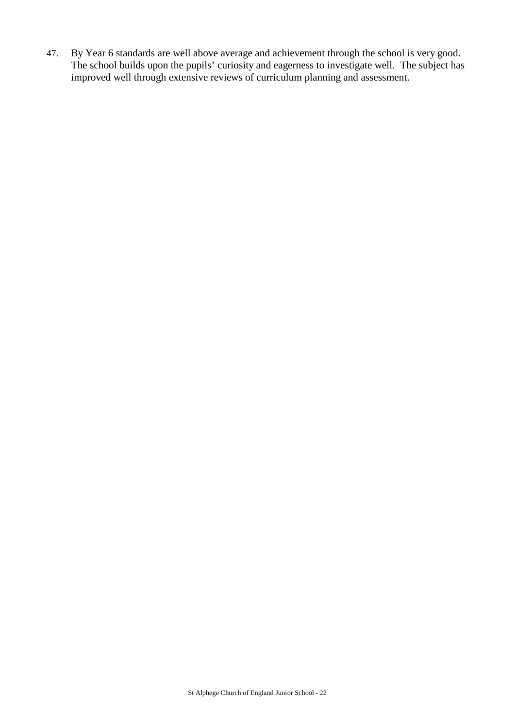47. By Year 6 standards are well above average and achievement through the school is very good. The school builds upon the pupils' curiosity and eagerness to investigate well. The subject has improved well through extensive reviews of curriculum planning and assessment.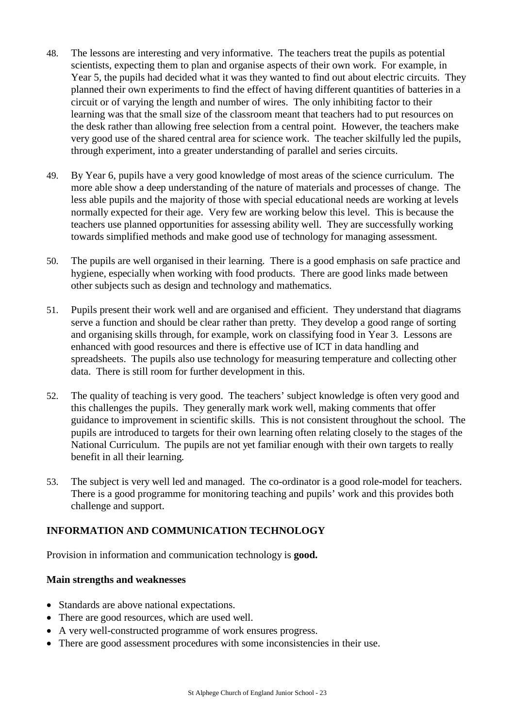- 48. The lessons are interesting and very informative. The teachers treat the pupils as potential scientists, expecting them to plan and organise aspects of their own work. For example, in Year 5, the pupils had decided what it was they wanted to find out about electric circuits. They planned their own experiments to find the effect of having different quantities of batteries in a circuit or of varying the length and number of wires. The only inhibiting factor to their learning was that the small size of the classroom meant that teachers had to put resources on the desk rather than allowing free selection from a central point. However, the teachers make very good use of the shared central area for science work. The teacher skilfully led the pupils, through experiment, into a greater understanding of parallel and series circuits.
- 49. By Year 6, pupils have a very good knowledge of most areas of the science curriculum. The more able show a deep understanding of the nature of materials and processes of change. The less able pupils and the majority of those with special educational needs are working at levels normally expected for their age. Very few are working below this level. This is because the teachers use planned opportunities for assessing ability well. They are successfully working towards simplified methods and make good use of technology for managing assessment.
- 50. The pupils are well organised in their learning. There is a good emphasis on safe practice and hygiene, especially when working with food products. There are good links made between other subjects such as design and technology and mathematics.
- 51. Pupils present their work well and are organised and efficient. They understand that diagrams serve a function and should be clear rather than pretty. They develop a good range of sorting and organising skills through, for example, work on classifying food in Year 3. Lessons are enhanced with good resources and there is effective use of ICT in data handling and spreadsheets. The pupils also use technology for measuring temperature and collecting other data. There is still room for further development in this.
- 52. The quality of teaching is very good. The teachers' subject knowledge is often very good and this challenges the pupils. They generally mark work well, making comments that offer guidance to improvement in scientific skills. This is not consistent throughout the school. The pupils are introduced to targets for their own learning often relating closely to the stages of the National Curriculum. The pupils are not yet familiar enough with their own targets to really benefit in all their learning.
- 53. The subject is very well led and managed. The co-ordinator is a good role-model for teachers. There is a good programme for monitoring teaching and pupils' work and this provides both challenge and support.

# **INFORMATION AND COMMUNICATION TECHNOLOGY**

Provision in information and communication technology is **good.**

# **Main strengths and weaknesses**

- Standards are above national expectations.
- There are good resources, which are used well.
- A very well-constructed programme of work ensures progress.
- There are good assessment procedures with some inconsistencies in their use.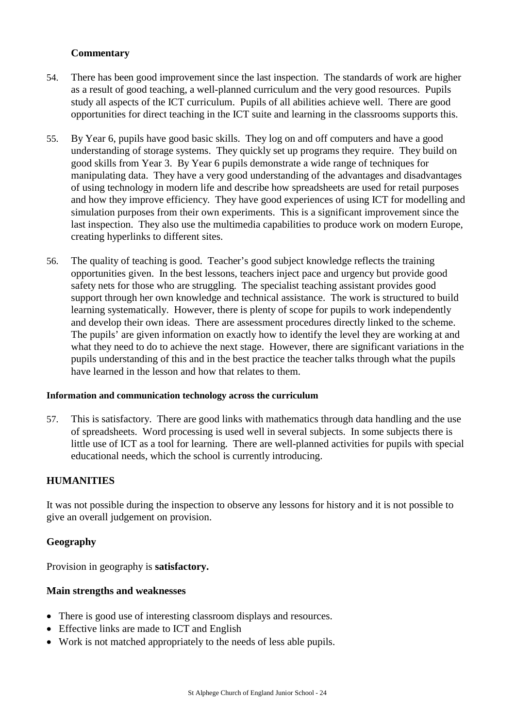# **Commentary**

- 54. There has been good improvement since the last inspection. The standards of work are higher as a result of good teaching, a well-planned curriculum and the very good resources. Pupils study all aspects of the ICT curriculum. Pupils of all abilities achieve well. There are good opportunities for direct teaching in the ICT suite and learning in the classrooms supports this.
- 55. By Year 6, pupils have good basic skills. They log on and off computers and have a good understanding of storage systems. They quickly set up programs they require. They build on good skills from Year 3. By Year 6 pupils demonstrate a wide range of techniques for manipulating data. They have a very good understanding of the advantages and disadvantages of using technology in modern life and describe how spreadsheets are used for retail purposes and how they improve efficiency. They have good experiences of using ICT for modelling and simulation purposes from their own experiments. This is a significant improvement since the last inspection. They also use the multimedia capabilities to produce work on modern Europe, creating hyperlinks to different sites.
- 56. The quality of teaching is good. Teacher's good subject knowledge reflects the training opportunities given. In the best lessons, teachers inject pace and urgency but provide good safety nets for those who are struggling. The specialist teaching assistant provides good support through her own knowledge and technical assistance. The work is structured to build learning systematically. However, there is plenty of scope for pupils to work independently and develop their own ideas. There are assessment procedures directly linked to the scheme. The pupils' are given information on exactly how to identify the level they are working at and what they need to do to achieve the next stage. However, there are significant variations in the pupils understanding of this and in the best practice the teacher talks through what the pupils have learned in the lesson and how that relates to them.

## **Information and communication technology across the curriculum**

57. This is satisfactory. There are good links with mathematics through data handling and the use of spreadsheets. Word processing is used well in several subjects. In some subjects there is little use of ICT as a tool for learning. There are well-planned activities for pupils with special educational needs, which the school is currently introducing.

# **HUMANITIES**

It was not possible during the inspection to observe any lessons for history and it is not possible to give an overall judgement on provision.

# **Geography**

Provision in geography is **satisfactory.**

# **Main strengths and weaknesses**

- There is good use of interesting classroom displays and resources.
- Effective links are made to ICT and English
- Work is not matched appropriately to the needs of less able pupils.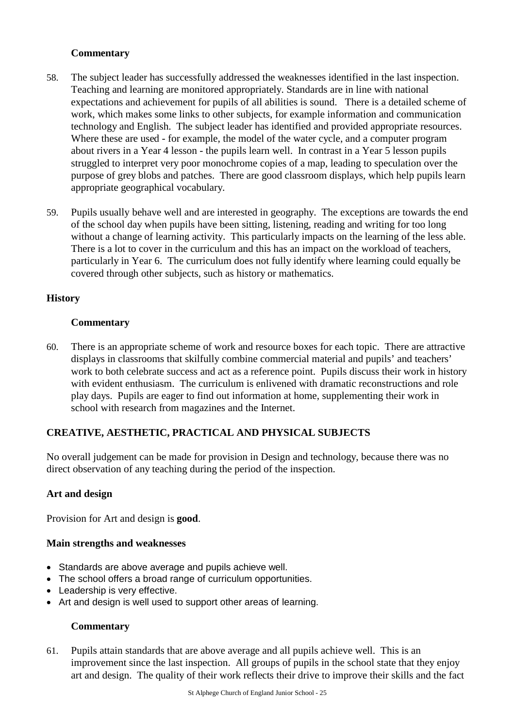# **Commentary**

- 58. The subject leader has successfully addressed the weaknesses identified in the last inspection. Teaching and learning are monitored appropriately. Standards are in line with national expectations and achievement for pupils of all abilities is sound. There is a detailed scheme of work, which makes some links to other subjects, for example information and communication technology and English. The subject leader has identified and provided appropriate resources. Where these are used - for example, the model of the water cycle, and a computer program about rivers in a Year 4 lesson - the pupils learn well. In contrast in a Year 5 lesson pupils struggled to interpret very poor monochrome copies of a map, leading to speculation over the purpose of grey blobs and patches. There are good classroom displays, which help pupils learn appropriate geographical vocabulary.
- 59. Pupils usually behave well and are interested in geography. The exceptions are towards the end of the school day when pupils have been sitting, listening, reading and writing for too long without a change of learning activity. This particularly impacts on the learning of the less able. There is a lot to cover in the curriculum and this has an impact on the workload of teachers, particularly in Year 6. The curriculum does not fully identify where learning could equally be covered through other subjects, such as history or mathematics.

# **History**

# **Commentary**

60. There is an appropriate scheme of work and resource boxes for each topic. There are attractive displays in classrooms that skilfully combine commercial material and pupils' and teachers' work to both celebrate success and act as a reference point. Pupils discuss their work in history with evident enthusiasm. The curriculum is enlivened with dramatic reconstructions and role play days. Pupils are eager to find out information at home, supplementing their work in school with research from magazines and the Internet.

# **CREATIVE, AESTHETIC, PRACTICAL AND PHYSICAL SUBJECTS**

No overall judgement can be made for provision in Design and technology, because there was no direct observation of any teaching during the period of the inspection.

## **Art and design**

Provision for Art and design is **good**.

## **Main strengths and weaknesses**

- Standards are above average and pupils achieve well.
- The school offers a broad range of curriculum opportunities.
- Leadership is very effective.
- Art and design is well used to support other areas of learning.

## **Commentary**

61. Pupils attain standards that are above average and all pupils achieve well. This is an improvement since the last inspection. All groups of pupils in the school state that they enjoy art and design. The quality of their work reflects their drive to improve their skills and the fact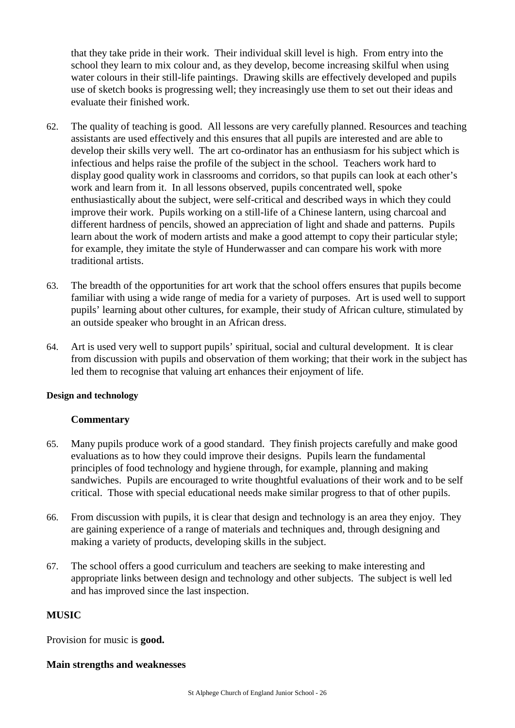that they take pride in their work. Their individual skill level is high. From entry into the school they learn to mix colour and, as they develop, become increasing skilful when using water colours in their still-life paintings. Drawing skills are effectively developed and pupils use of sketch books is progressing well; they increasingly use them to set out their ideas and evaluate their finished work.

- 62. The quality of teaching is good. All lessons are very carefully planned. Resources and teaching assistants are used effectively and this ensures that all pupils are interested and are able to develop their skills very well. The art co-ordinator has an enthusiasm for his subject which is infectious and helps raise the profile of the subject in the school. Teachers work hard to display good quality work in classrooms and corridors, so that pupils can look at each other's work and learn from it. In all lessons observed, pupils concentrated well, spoke enthusiastically about the subject, were self-critical and described ways in which they could improve their work. Pupils working on a still-life of a Chinese lantern, using charcoal and different hardness of pencils, showed an appreciation of light and shade and patterns. Pupils learn about the work of modern artists and make a good attempt to copy their particular style; for example, they imitate the style of Hunderwasser and can compare his work with more traditional artists.
- 63. The breadth of the opportunities for art work that the school offers ensures that pupils become familiar with using a wide range of media for a variety of purposes. Art is used well to support pupils' learning about other cultures, for example, their study of African culture, stimulated by an outside speaker who brought in an African dress.
- 64. Art is used very well to support pupils' spiritual, social and cultural development. It is clear from discussion with pupils and observation of them working; that their work in the subject has led them to recognise that valuing art enhances their enjoyment of life.

## **Design and technology**

## **Commentary**

- 65. Many pupils produce work of a good standard. They finish projects carefully and make good evaluations as to how they could improve their designs. Pupils learn the fundamental principles of food technology and hygiene through, for example, planning and making sandwiches. Pupils are encouraged to write thoughtful evaluations of their work and to be self critical. Those with special educational needs make similar progress to that of other pupils.
- 66. From discussion with pupils, it is clear that design and technology is an area they enjoy. They are gaining experience of a range of materials and techniques and, through designing and making a variety of products, developing skills in the subject.
- 67. The school offers a good curriculum and teachers are seeking to make interesting and appropriate links between design and technology and other subjects. The subject is well led and has improved since the last inspection.

#### **MUSIC**

Provision for music is **good.**

#### **Main strengths and weaknesses**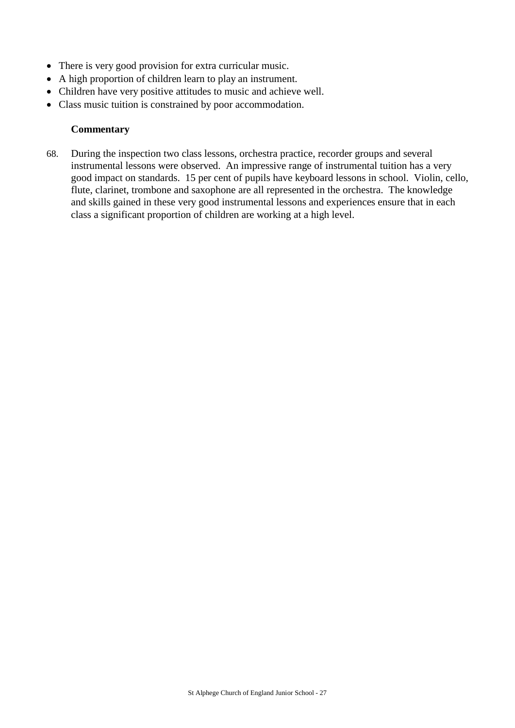- There is very good provision for extra curricular music.
- A high proportion of children learn to play an instrument.
- Children have very positive attitudes to music and achieve well.
- Class music tuition is constrained by poor accommodation.

## **Commentary**

68. During the inspection two class lessons, orchestra practice, recorder groups and several instrumental lessons were observed. An impressive range of instrumental tuition has a very good impact on standards. 15 per cent of pupils have keyboard lessons in school. Violin, cello, flute, clarinet, trombone and saxophone are all represented in the orchestra. The knowledge and skills gained in these very good instrumental lessons and experiences ensure that in each class a significant proportion of children are working at a high level.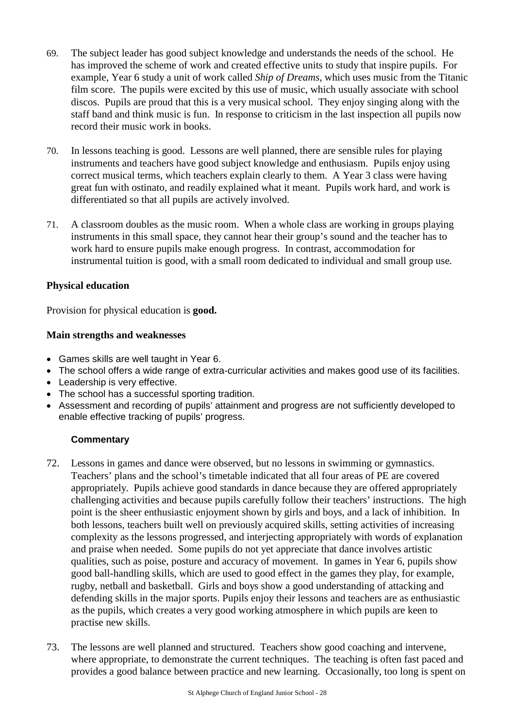- 69. The subject leader has good subject knowledge and understands the needs of the school. He has improved the scheme of work and created effective units to study that inspire pupils. For example, Year 6 study a unit of work called *Ship of Dreams,* which uses music from the Titanic film score. The pupils were excited by this use of music, which usually associate with school discos. Pupils are proud that this is a very musical school. They enjoy singing along with the staff band and think music is fun. In response to criticism in the last inspection all pupils now record their music work in books.
- 70. In lessons teaching is good. Lessons are well planned, there are sensible rules for playing instruments and teachers have good subject knowledge and enthusiasm. Pupils enjoy using correct musical terms, which teachers explain clearly to them. A Year 3 class were having great fun with ostinato, and readily explained what it meant. Pupils work hard, and work is differentiated so that all pupils are actively involved.
- 71. A classroom doubles as the music room. When a whole class are working in groups playing instruments in this small space, they cannot hear their group's sound and the teacher has to work hard to ensure pupils make enough progress. In contrast, accommodation for instrumental tuition is good, with a small room dedicated to individual and small group use.

## **Physical education**

Provision for physical education is **good.**

## **Main strengths and weaknesses**

- Games skills are well taught in Year 6.
- The school offers a wide range of extra-curricular activities and makes good use of its facilities.
- Leadership is very effective.
- The school has a successful sporting tradition.
- Assessment and recording of pupils' attainment and progress are not sufficiently developed to enable effective tracking of pupils' progress.

- 72. Lessons in games and dance were observed, but no lessons in swimming or gymnastics. Teachers' plans and the school's timetable indicated that all four areas of PE are covered appropriately. Pupils achieve good standards in dance because they are offered appropriately challenging activities and because pupils carefully follow their teachers' instructions. The high point is the sheer enthusiastic enjoyment shown by girls and boys, and a lack of inhibition. In both lessons, teachers built well on previously acquired skills, setting activities of increasing complexity as the lessons progressed, and interjecting appropriately with words of explanation and praise when needed. Some pupils do not yet appreciate that dance involves artistic qualities, such as poise, posture and accuracy of movement. In games in Year 6, pupils show good ball-handling skills, which are used to good effect in the games they play, for example, rugby, netball and basketball. Girls and boys show a good understanding of attacking and defending skills in the major sports. Pupils enjoy their lessons and teachers are as enthusiastic as the pupils, which creates a very good working atmosphere in which pupils are keen to practise new skills.
- 73. The lessons are well planned and structured. Teachers show good coaching and intervene, where appropriate, to demonstrate the current techniques. The teaching is often fast paced and provides a good balance between practice and new learning. Occasionally, too long is spent on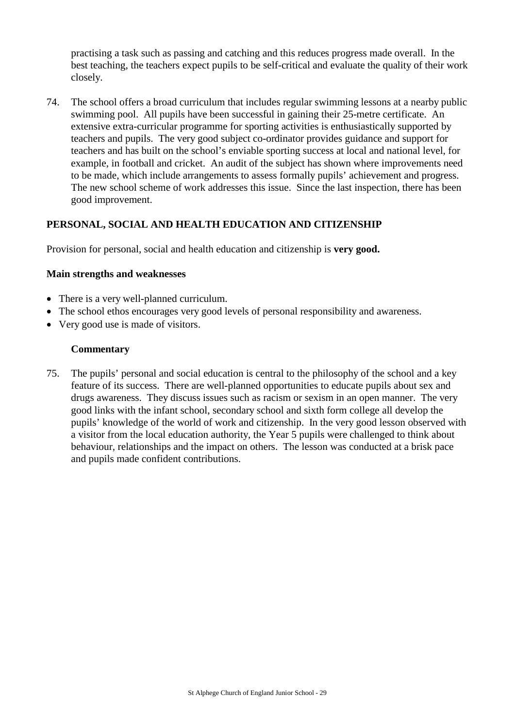practising a task such as passing and catching and this reduces progress made overall. In the best teaching, the teachers expect pupils to be self-critical and evaluate the quality of their work closely.

74. The school offers a broad curriculum that includes regular swimming lessons at a nearby public swimming pool. All pupils have been successful in gaining their 25-metre certificate. An extensive extra-curricular programme for sporting activities is enthusiastically supported by teachers and pupils. The very good subject co-ordinator provides guidance and support for teachers and has built on the school's enviable sporting success at local and national level, for example, in football and cricket. An audit of the subject has shown where improvements need to be made, which include arrangements to assess formally pupils' achievement and progress. The new school scheme of work addresses this issue. Since the last inspection, there has been good improvement.

# **PERSONAL, SOCIAL AND HEALTH EDUCATION AND CITIZENSHIP**

Provision for personal, social and health education and citizenship is **very good.**

## **Main strengths and weaknesses**

- There is a very well-planned curriculum.
- The school ethos encourages very good levels of personal responsibility and awareness.
- Very good use is made of visitors.

## **Commentary**

75. The pupils' personal and social education is central to the philosophy of the school and a key feature of its success. There are well-planned opportunities to educate pupils about sex and drugs awareness. They discuss issues such as racism or sexism in an open manner. The very good links with the infant school, secondary school and sixth form college all develop the pupils' knowledge of the world of work and citizenship. In the very good lesson observed with a visitor from the local education authority, the Year 5 pupils were challenged to think about behaviour, relationships and the impact on others. The lesson was conducted at a brisk pace and pupils made confident contributions.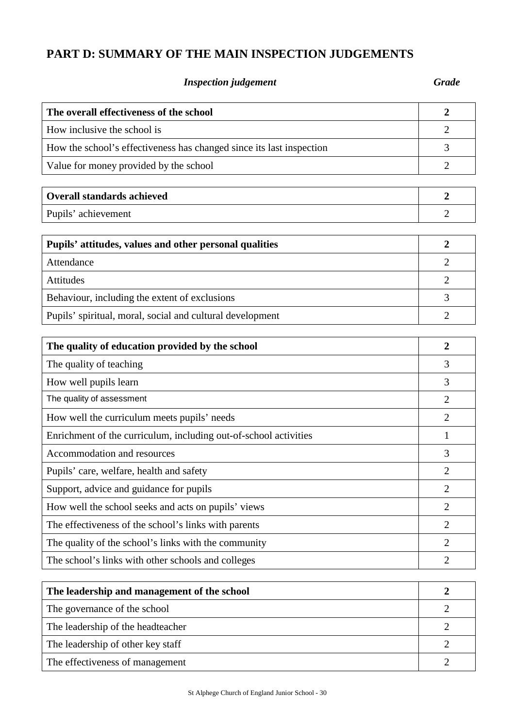# **PART D: SUMMARY OF THE MAIN INSPECTION JUDGEMENTS**

# *Inspection judgement Grade*

| The overall effectiveness of the school                              | $\overline{2}$   |
|----------------------------------------------------------------------|------------------|
| How inclusive the school is                                          | $\overline{2}$   |
| How the school's effectiveness has changed since its last inspection | 3                |
| Value for money provided by the school                               | $\overline{2}$   |
|                                                                      |                  |
| <b>Overall standards achieved</b>                                    | $\boldsymbol{2}$ |
| Pupils' achievement                                                  | 2                |
|                                                                      | $\overline{2}$   |
| Pupils' attitudes, values and other personal qualities               |                  |
| Attendance                                                           | $\overline{2}$   |
| Attitudes                                                            | $\overline{2}$   |
| Behaviour, including the extent of exclusions                        | 3                |
| Pupils' spiritual, moral, social and cultural development            | $\overline{2}$   |
|                                                                      |                  |
| The quality of education provided by the school                      | $\overline{2}$   |
| The quality of teaching                                              | 3                |
| How well pupils learn                                                | 3                |
| The quality of assessment                                            | $\overline{2}$   |
| How well the curriculum meets pupils' needs                          | $\overline{2}$   |
| Enrichment of the curriculum, including out-of-school activities     | 1                |
| Accommodation and resources                                          | 3                |
| Pupils' care, welfare, health and safety                             | $\overline{2}$   |
| Support, advice and guidance for pupils                              | $\overline{c}$   |
| How well the school seeks and acts on pupils' views                  | $\overline{2}$   |
| The effectiveness of the school's links with parents                 | $\overline{2}$   |
| The quality of the school's links with the community                 | $\overline{2}$   |
| The school's links with other schools and colleges                   | $\overline{2}$   |
|                                                                      |                  |
| The leadership and management of the school                          | $\boldsymbol{2}$ |
| The governance of the school                                         | $\overline{2}$   |
| The leadership of the headteacher                                    | $\overline{2}$   |
| The leadership of other key staff                                    | $\overline{2}$   |
| The effectiveness of management                                      | $\overline{2}$   |